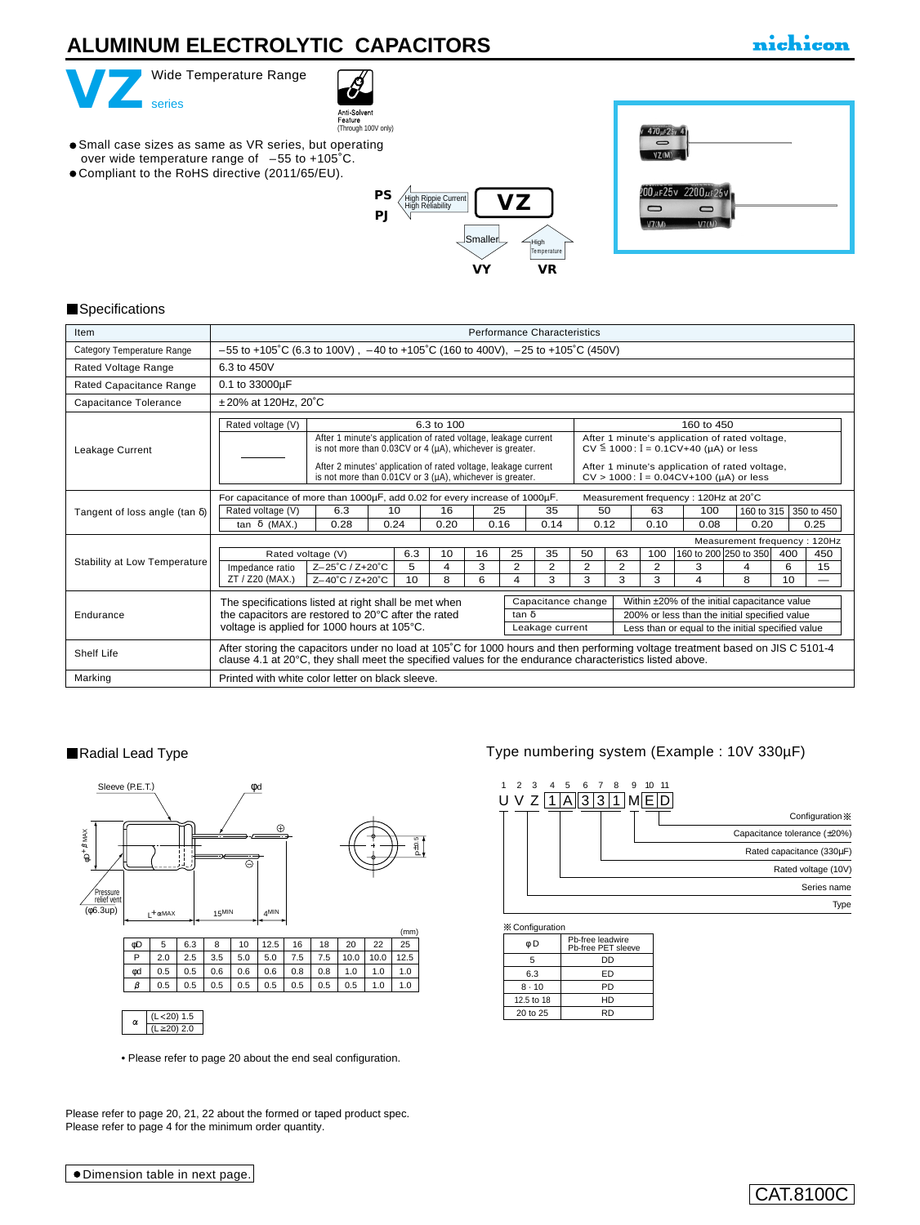# **ALUMINUM ELECTROLYTIC CAPACITORS**

# nichicon







#### **Specifications**

| Item                                  | <b>Performance Characteristics</b><br>$-55$ to +105°C (6.3 to 100V), $-40$ to +105°C (160 to 400V), $-25$ to +105°C (450V)                                                                                                                                                                                                                                         |                   |                                                                                                                                                                                                                                                                  |            |            |                                                                                                                                                                                                |            |                              |    |            |                                   |   |     |                    |
|---------------------------------------|--------------------------------------------------------------------------------------------------------------------------------------------------------------------------------------------------------------------------------------------------------------------------------------------------------------------------------------------------------------------|-------------------|------------------------------------------------------------------------------------------------------------------------------------------------------------------------------------------------------------------------------------------------------------------|------------|------------|------------------------------------------------------------------------------------------------------------------------------------------------------------------------------------------------|------------|------------------------------|----|------------|-----------------------------------|---|-----|--------------------|
| Category Temperature Range            |                                                                                                                                                                                                                                                                                                                                                                    |                   |                                                                                                                                                                                                                                                                  |            |            |                                                                                                                                                                                                |            |                              |    |            |                                   |   |     |                    |
| Rated Voltage Range                   | 6.3 to 450V                                                                                                                                                                                                                                                                                                                                                        |                   |                                                                                                                                                                                                                                                                  |            |            |                                                                                                                                                                                                |            |                              |    |            |                                   |   |     |                    |
| Rated Capacitance Range               | 0.1 to 33000µF                                                                                                                                                                                                                                                                                                                                                     |                   |                                                                                                                                                                                                                                                                  |            |            |                                                                                                                                                                                                |            |                              |    |            |                                   |   |     |                    |
| Capacitance Tolerance                 | ±20% at 120Hz, 20°C                                                                                                                                                                                                                                                                                                                                                |                   |                                                                                                                                                                                                                                                                  |            |            |                                                                                                                                                                                                |            |                              |    |            |                                   |   |     |                    |
|                                       | Rated voltage (V)                                                                                                                                                                                                                                                                                                                                                  |                   |                                                                                                                                                                                                                                                                  | 6.3 to 100 |            |                                                                                                                                                                                                |            | 160 to 450                   |    |            |                                   |   |     |                    |
| Leakage Current                       |                                                                                                                                                                                                                                                                                                                                                                    |                   | After 1 minute's application of rated voltage, leakage current<br>is not more than 0.03CV or 4 (µA), whichever is greater.<br>After 2 minutes' application of rated voltage, leakage current<br>is not more than $0.01CV$ or 3 ( $\mu$ A), whichever is greater. |            |            | After 1 minute's application of rated voltage,<br>$CV \le 1000$ : $I = 0.1CV+40$ (µA) or less<br>After 1 minute's application of rated voltage,<br>$CV > 1000$ : $I = 0.04CV+100$ (µA) or less |            |                              |    |            |                                   |   |     |                    |
|                                       | For capacitance of more than 1000µF, add 0.02 for every increase of 1000µF.<br>Measurement frequency: 120Hz at 20°C                                                                                                                                                                                                                                                |                   |                                                                                                                                                                                                                                                                  |            |            |                                                                                                                                                                                                |            |                              |    |            |                                   |   |     |                    |
| Tangent of loss angle (tan $\delta$ ) | Rated voltage (V)<br>tan δ (MAX.)                                                                                                                                                                                                                                                                                                                                  | 6.3               |                                                                                                                                                                                                                                                                  | 16<br>0.20 | 25<br>0.16 |                                                                                                                                                                                                | 35<br>0.14 | 50<br>0.12                   |    | 63<br>0.10 | 100<br>160 to 315<br>0.08<br>0.20 |   |     | 350 to 450<br>0.25 |
|                                       |                                                                                                                                                                                                                                                                                                                                                                    | 0.24<br>0.28      |                                                                                                                                                                                                                                                                  |            |            |                                                                                                                                                                                                |            | Measurement frequency: 120Hz |    |            |                                   |   |     |                    |
|                                       |                                                                                                                                                                                                                                                                                                                                                                    | Rated voltage (V) | 6.3                                                                                                                                                                                                                                                              | 10         | 16         | 25                                                                                                                                                                                             | 35         | 50                           | 63 | 100        | 160 to 200 250 to 350             |   | 400 | 450                |
| Stability at Low Temperature          | Impedance ratio                                                                                                                                                                                                                                                                                                                                                    | Z-25°C / Z+20°C   | 5                                                                                                                                                                                                                                                                | 4          | 3          | 2                                                                                                                                                                                              | 2          | 2                            | 2  | 2          | 3                                 | 4 | 6   | 15                 |
|                                       | ZT / Z20 (MAX.)                                                                                                                                                                                                                                                                                                                                                    | Z-40°C / Z+20°C   | 10                                                                                                                                                                                                                                                               | 8          | 6          | 4                                                                                                                                                                                              | 3          | 3                            | 3  | 3          | 4                                 | 8 | 10  |                    |
| Endurance                             | Capacitance change<br>Within ±20% of the initial capacitance value<br>The specifications listed at right shall be met when<br>the capacitors are restored to 20°C after the rated<br>200% or less than the initial specified value<br>tan δ<br>voltage is applied for 1000 hours at 105°C.<br>Less than or equal to the initial specified value<br>Leakage current |                   |                                                                                                                                                                                                                                                                  |            |            |                                                                                                                                                                                                |            |                              |    |            |                                   |   |     |                    |
| Shelf Life                            | After storing the capacitors under no load at 105°C for 1000 hours and then performing voltage treatment based on JIS C 5101-4<br>clause 4.1 at 20°C, they shall meet the specified values for the endurance characteristics listed above.                                                                                                                         |                   |                                                                                                                                                                                                                                                                  |            |            |                                                                                                                                                                                                |            |                              |    |            |                                   |   |     |                    |
| Marking                               | Printed with white color letter on black sleeve.                                                                                                                                                                                                                                                                                                                   |                   |                                                                                                                                                                                                                                                                  |            |            |                                                                                                                                                                                                |            |                              |    |            |                                   |   |     |                    |

#### Radial Lead Type



• [Please refer to page 20 about the end seal configuration.](e-fuko.pdf)

Please refer to page 20, 21, 22 about the formed or taped product spec. Please refer to page 4 for the minimum order quantity.

## Type numbering system (Example : 10V 330µF)



| ≪ ∪∪mqurau∪m |                                        |  |  |  |  |  |  |  |  |
|--------------|----------------------------------------|--|--|--|--|--|--|--|--|
| øD           | Pb-free leadwire<br>Pb-free PET sleeve |  |  |  |  |  |  |  |  |
| 5            | DD                                     |  |  |  |  |  |  |  |  |
| 6.3          | ED                                     |  |  |  |  |  |  |  |  |
| $8 - 10$     | PD                                     |  |  |  |  |  |  |  |  |
| 12.5 to 18   | HD                                     |  |  |  |  |  |  |  |  |
| 20 to 25     | RD                                     |  |  |  |  |  |  |  |  |
|              |                                        |  |  |  |  |  |  |  |  |